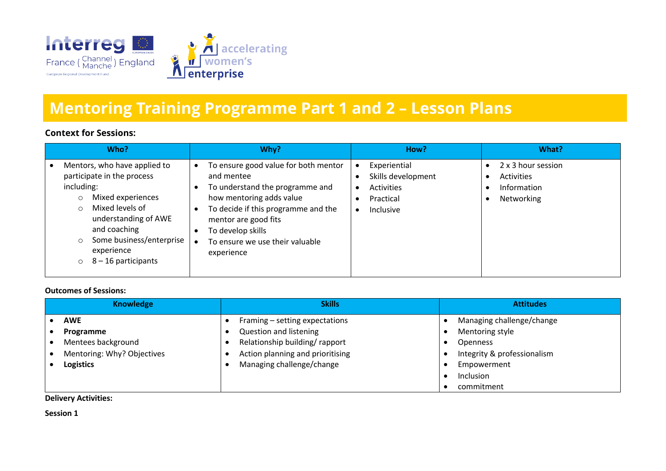

# **Mentoring Training Programme Part 1 and 2 – Lesson Plans**

## **Context for Sessions:**

| Who?                                                                                                                                                                                                                                                                     | Why?                                                                                                                                                                                                                                                   | How?                                                                                                 | What?                                                                      |
|--------------------------------------------------------------------------------------------------------------------------------------------------------------------------------------------------------------------------------------------------------------------------|--------------------------------------------------------------------------------------------------------------------------------------------------------------------------------------------------------------------------------------------------------|------------------------------------------------------------------------------------------------------|----------------------------------------------------------------------------|
| Mentors, who have applied to<br>participate in the process<br>including:<br>Mixed experiences<br>$\circ$<br>Mixed levels of<br>$\Omega$<br>understanding of AWE<br>and coaching<br>Some business/enterprise<br>$\circ$<br>experience<br>$8 - 16$ participants<br>$\circ$ | To ensure good value for both mentor<br>and mentee<br>To understand the programme and<br>how mentoring adds value<br>To decide if this programme and the<br>mentor are good fits<br>To develop skills<br>To ensure we use their valuable<br>experience | Experiential<br>$\bullet$<br>Skills development<br>Activities<br>Practical<br>Inclusive<br>$\bullet$ | 2 x 3 hour session<br>Activities<br>$\bullet$<br>Information<br>Networking |

#### **Outcomes of Sessions:**

| <b>Knowledge</b>           | <b>Skills</b>                    | <b>Attitudes</b>            |
|----------------------------|----------------------------------|-----------------------------|
| <b>AWE</b>                 | Framing - setting expectations   | Managing challenge/change   |
| Programme                  | <b>Question and listening</b>    | Mentoring style             |
| Mentees background         | Relationship building/rapport    | <b>Openness</b>             |
| Mentoring: Why? Objectives | Action planning and prioritising | Integrity & professionalism |
| <b>Logistics</b>           | Managing challenge/change        | Empowerment                 |
|                            |                                  | Inclusion                   |
|                            |                                  | commitment                  |

#### **Delivery Activities:**

**Session 1**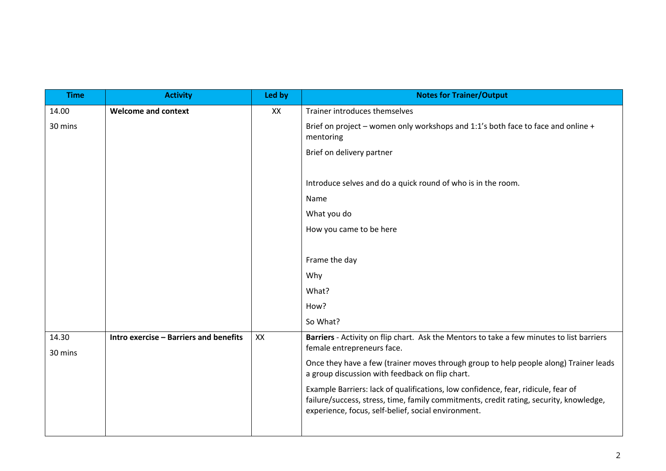| <b>Time</b> | <b>Activity</b>                        | Led by | <b>Notes for Trainer/Output</b>                                                                                                                                                                                                    |
|-------------|----------------------------------------|--------|------------------------------------------------------------------------------------------------------------------------------------------------------------------------------------------------------------------------------------|
| 14.00       | <b>Welcome and context</b>             | XX     | Trainer introduces themselves                                                                                                                                                                                                      |
| 30 mins     |                                        |        | Brief on project - women only workshops and 1:1's both face to face and online +<br>mentoring                                                                                                                                      |
|             |                                        |        | Brief on delivery partner                                                                                                                                                                                                          |
|             |                                        |        | Introduce selves and do a quick round of who is in the room.                                                                                                                                                                       |
|             |                                        |        | Name                                                                                                                                                                                                                               |
|             |                                        |        | What you do                                                                                                                                                                                                                        |
|             |                                        |        | How you came to be here                                                                                                                                                                                                            |
|             |                                        |        |                                                                                                                                                                                                                                    |
|             |                                        |        | Frame the day                                                                                                                                                                                                                      |
|             |                                        |        | Why                                                                                                                                                                                                                                |
|             |                                        |        | What?                                                                                                                                                                                                                              |
|             |                                        |        | How?                                                                                                                                                                                                                               |
|             |                                        |        | So What?                                                                                                                                                                                                                           |
| 14.30       | Intro exercise - Barriers and benefits | XX     | Barriers - Activity on flip chart. Ask the Mentors to take a few minutes to list barriers<br>female entrepreneurs face.                                                                                                            |
| 30 mins     |                                        |        |                                                                                                                                                                                                                                    |
|             |                                        |        | Once they have a few (trainer moves through group to help people along) Trainer leads<br>a group discussion with feedback on flip chart.                                                                                           |
|             |                                        |        | Example Barriers: lack of qualifications, low confidence, fear, ridicule, fear of<br>failure/success, stress, time, family commitments, credit rating, security, knowledge,<br>experience, focus, self-belief, social environment. |
|             |                                        |        |                                                                                                                                                                                                                                    |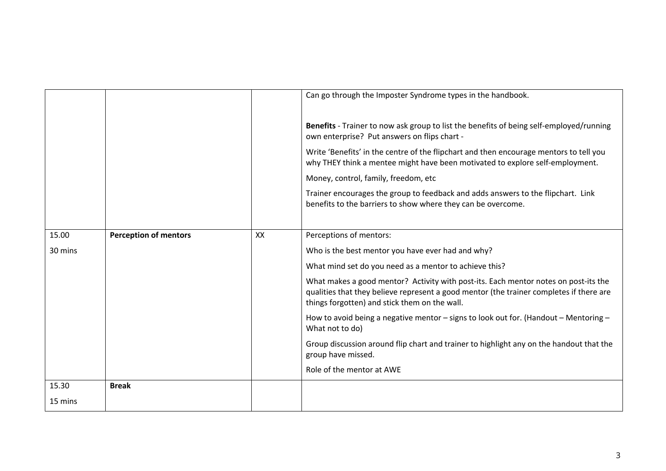|         |                              |    | Can go through the Imposter Syndrome types in the handbook.                                                                                                                                                                     |
|---------|------------------------------|----|---------------------------------------------------------------------------------------------------------------------------------------------------------------------------------------------------------------------------------|
|         |                              |    |                                                                                                                                                                                                                                 |
|         |                              |    | Benefits - Trainer to now ask group to list the benefits of being self-employed/running<br>own enterprise? Put answers on flips chart -                                                                                         |
|         |                              |    | Write 'Benefits' in the centre of the flipchart and then encourage mentors to tell you<br>why THEY think a mentee might have been motivated to explore self-employment.                                                         |
|         |                              |    | Money, control, family, freedom, etc                                                                                                                                                                                            |
|         |                              |    | Trainer encourages the group to feedback and adds answers to the flipchart. Link<br>benefits to the barriers to show where they can be overcome.                                                                                |
|         |                              |    |                                                                                                                                                                                                                                 |
| 15.00   | <b>Perception of mentors</b> | XX | Perceptions of mentors:                                                                                                                                                                                                         |
| 30 mins |                              |    | Who is the best mentor you have ever had and why?                                                                                                                                                                               |
|         |                              |    | What mind set do you need as a mentor to achieve this?                                                                                                                                                                          |
|         |                              |    | What makes a good mentor? Activity with post-its. Each mentor notes on post-its the<br>qualities that they believe represent a good mentor (the trainer completes if there are<br>things forgotten) and stick them on the wall. |
|         |                              |    | How to avoid being a negative mentor - signs to look out for. (Handout - Mentoring -<br>What not to do)                                                                                                                         |
|         |                              |    | Group discussion around flip chart and trainer to highlight any on the handout that the<br>group have missed.                                                                                                                   |
|         |                              |    | Role of the mentor at AWE                                                                                                                                                                                                       |
| 15.30   | <b>Break</b>                 |    |                                                                                                                                                                                                                                 |
| 15 mins |                              |    |                                                                                                                                                                                                                                 |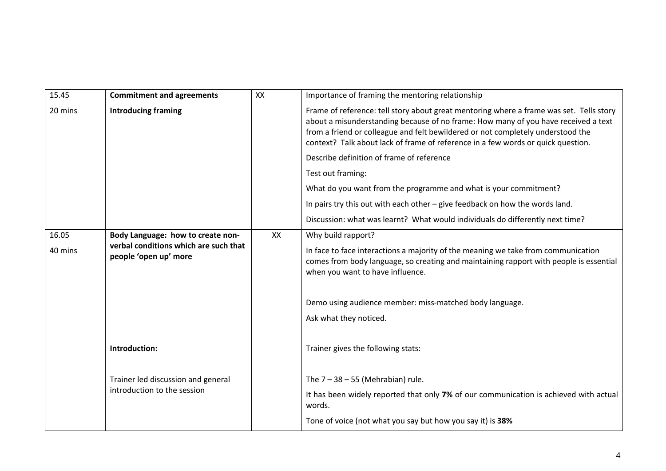| 15.45   | <b>Commitment and agreements</b>                               | XX | Importance of framing the mentoring relationship                                                                                                                                                                                                                                                                                                     |
|---------|----------------------------------------------------------------|----|------------------------------------------------------------------------------------------------------------------------------------------------------------------------------------------------------------------------------------------------------------------------------------------------------------------------------------------------------|
| 20 mins | <b>Introducing framing</b>                                     |    | Frame of reference: tell story about great mentoring where a frame was set. Tells story<br>about a misunderstanding because of no frame: How many of you have received a text<br>from a friend or colleague and felt bewildered or not completely understood the<br>context? Talk about lack of frame of reference in a few words or quick question. |
|         |                                                                |    | Describe definition of frame of reference                                                                                                                                                                                                                                                                                                            |
|         |                                                                |    | Test out framing:                                                                                                                                                                                                                                                                                                                                    |
|         |                                                                |    | What do you want from the programme and what is your commitment?                                                                                                                                                                                                                                                                                     |
|         |                                                                |    | In pairs try this out with each other - give feedback on how the words land.                                                                                                                                                                                                                                                                         |
|         |                                                                |    | Discussion: what was learnt? What would individuals do differently next time?                                                                                                                                                                                                                                                                        |
| 16.05   | Body Language: how to create non-                              | XX | Why build rapport?                                                                                                                                                                                                                                                                                                                                   |
| 40 mins | verbal conditions which are such that<br>people 'open up' more |    | In face to face interactions a majority of the meaning we take from communication<br>comes from body language, so creating and maintaining rapport with people is essential<br>when you want to have influence.                                                                                                                                      |
|         |                                                                |    | Demo using audience member: miss-matched body language.<br>Ask what they noticed.                                                                                                                                                                                                                                                                    |
|         | Introduction:                                                  |    | Trainer gives the following stats:                                                                                                                                                                                                                                                                                                                   |
|         | Trainer led discussion and general                             |    | The $7 - 38 - 55$ (Mehrabian) rule.                                                                                                                                                                                                                                                                                                                  |
|         | introduction to the session                                    |    | It has been widely reported that only 7% of our communication is achieved with actual<br>words.                                                                                                                                                                                                                                                      |
|         |                                                                |    | Tone of voice (not what you say but how you say it) is 38%                                                                                                                                                                                                                                                                                           |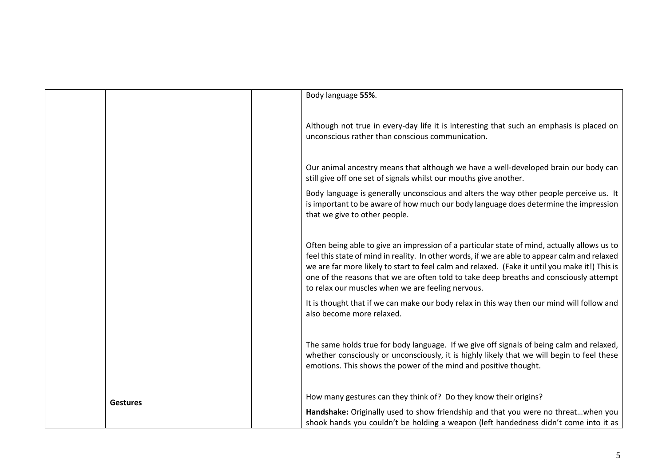|                 | Body language 55%.                                                                                                                                                                                                                                                                                                                                                                                                                            |
|-----------------|-----------------------------------------------------------------------------------------------------------------------------------------------------------------------------------------------------------------------------------------------------------------------------------------------------------------------------------------------------------------------------------------------------------------------------------------------|
|                 | Although not true in every-day life it is interesting that such an emphasis is placed on<br>unconscious rather than conscious communication.                                                                                                                                                                                                                                                                                                  |
|                 | Our animal ancestry means that although we have a well-developed brain our body can<br>still give off one set of signals whilst our mouths give another.                                                                                                                                                                                                                                                                                      |
|                 | Body language is generally unconscious and alters the way other people perceive us. It<br>is important to be aware of how much our body language does determine the impression<br>that we give to other people.                                                                                                                                                                                                                               |
|                 | Often being able to give an impression of a particular state of mind, actually allows us to<br>feel this state of mind in reality. In other words, if we are able to appear calm and relaxed<br>we are far more likely to start to feel calm and relaxed. (Fake it until you make it!) This is<br>one of the reasons that we are often told to take deep breaths and consciously attempt<br>to relax our muscles when we are feeling nervous. |
|                 | It is thought that if we can make our body relax in this way then our mind will follow and<br>also become more relaxed.                                                                                                                                                                                                                                                                                                                       |
|                 | The same holds true for body language. If we give off signals of being calm and relaxed,<br>whether consciously or unconsciously, it is highly likely that we will begin to feel these<br>emotions. This shows the power of the mind and positive thought.                                                                                                                                                                                    |
| <b>Gestures</b> | How many gestures can they think of? Do they know their origins?<br>Handshake: Originally used to show friendship and that you were no threatwhen you<br>shook hands you couldn't be holding a weapon (left handedness didn't come into it as                                                                                                                                                                                                 |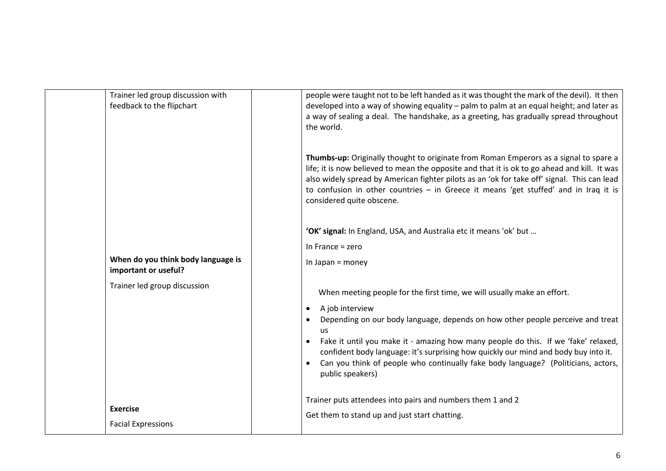| Trainer led group discussion with                          | people were taught not to be left handed as it was thought the mark of the devil). It then                                                                                                                                                                                                                                                                                                                                     |
|------------------------------------------------------------|--------------------------------------------------------------------------------------------------------------------------------------------------------------------------------------------------------------------------------------------------------------------------------------------------------------------------------------------------------------------------------------------------------------------------------|
| feedback to the flipchart                                  | developed into a way of showing equality - palm to palm at an equal height; and later as<br>a way of sealing a deal. The handshake, as a greeting, has gradually spread throughout<br>the world.                                                                                                                                                                                                                               |
|                                                            | Thumbs-up: Originally thought to originate from Roman Emperors as a signal to spare a<br>life; it is now believed to mean the opposite and that it is ok to go ahead and kill. It was<br>also widely spread by American fighter pilots as an 'ok for take off' signal. This can lead<br>to confusion in other countries - in Greece it means 'get stuffed' and in Iraq it is<br>considered quite obscene.                      |
|                                                            | 'OK' signal: In England, USA, and Australia etc it means 'ok' but                                                                                                                                                                                                                                                                                                                                                              |
|                                                            | In France $=$ zero                                                                                                                                                                                                                                                                                                                                                                                                             |
| When do you think body language is<br>important or useful? | In Japan = money                                                                                                                                                                                                                                                                                                                                                                                                               |
| Trainer led group discussion                               | When meeting people for the first time, we will usually make an effort.                                                                                                                                                                                                                                                                                                                                                        |
|                                                            | A job interview<br>$\bullet$<br>Depending on our body language, depends on how other people perceive and treat<br><b>us</b><br>Fake it until you make it - amazing how many people do this. If we 'fake' relaxed,<br>$\bullet$<br>confident body language: it's surprising how quickly our mind and body buy into it.<br>Can you think of people who continually fake body language? (Politicians, actors,<br>public speakers) |
| <b>Exercise</b><br><b>Facial Expressions</b>               | Trainer puts attendees into pairs and numbers them 1 and 2<br>Get them to stand up and just start chatting.                                                                                                                                                                                                                                                                                                                    |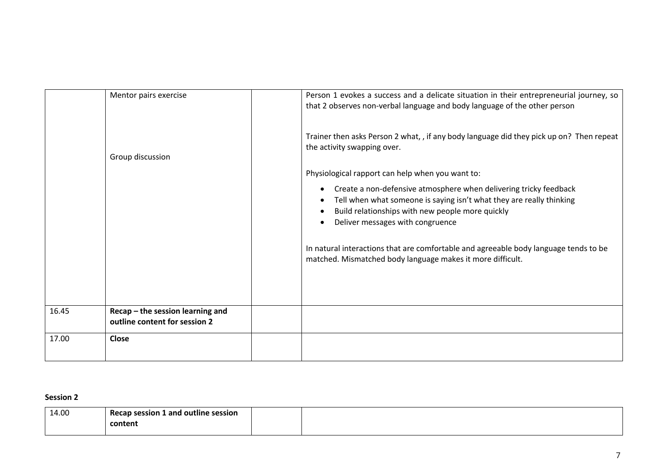|       | Mentor pairs exercise<br>Group discussion                         | Person 1 evokes a success and a delicate situation in their entrepreneurial journey, so<br>that 2 observes non-verbal language and body language of the other person<br>Trainer then asks Person 2 what, , if any body language did they pick up on? Then repeat<br>the activity swapping over.<br>Physiological rapport can help when you want to:<br>Create a non-defensive atmosphere when delivering tricky feedback<br>$\bullet$<br>Tell when what someone is saying isn't what they are really thinking |
|-------|-------------------------------------------------------------------|---------------------------------------------------------------------------------------------------------------------------------------------------------------------------------------------------------------------------------------------------------------------------------------------------------------------------------------------------------------------------------------------------------------------------------------------------------------------------------------------------------------|
|       |                                                                   | Build relationships with new people more quickly<br>Deliver messages with congruence<br>In natural interactions that are comfortable and agreeable body language tends to be<br>matched. Mismatched body language makes it more difficult.                                                                                                                                                                                                                                                                    |
| 16.45 | Recap - the session learning and<br>outline content for session 2 |                                                                                                                                                                                                                                                                                                                                                                                                                                                                                                               |
| 17.00 | Close                                                             |                                                                                                                                                                                                                                                                                                                                                                                                                                                                                                               |

### **Session 2**

| 14.00 | ---<br>Recap session 1 and outline session |  |
|-------|--------------------------------------------|--|
|       | content                                    |  |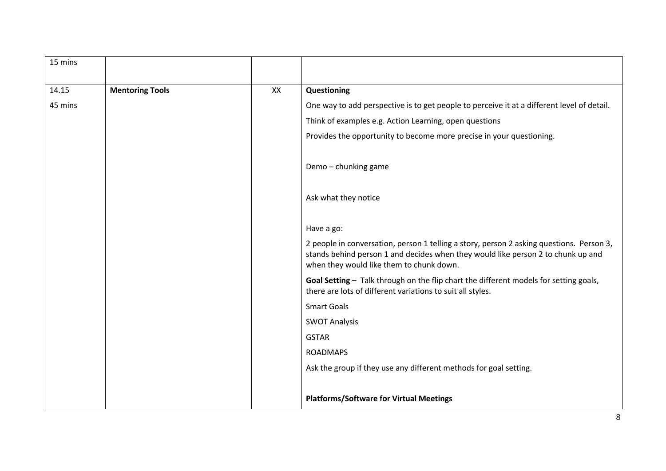| 15 mins |                        |    |                                                                                                                              |
|---------|------------------------|----|------------------------------------------------------------------------------------------------------------------------------|
|         |                        |    |                                                                                                                              |
| 14.15   | <b>Mentoring Tools</b> | XX | Questioning                                                                                                                  |
| 45 mins |                        |    | One way to add perspective is to get people to perceive it at a different level of detail.                                   |
|         |                        |    | Think of examples e.g. Action Learning, open questions                                                                       |
|         |                        |    | Provides the opportunity to become more precise in your questioning.                                                         |
|         |                        |    |                                                                                                                              |
|         |                        |    | Demo - chunking game                                                                                                         |
|         |                        |    |                                                                                                                              |
|         |                        |    | Ask what they notice                                                                                                         |
|         |                        |    |                                                                                                                              |
|         |                        |    | Have a go:                                                                                                                   |
|         |                        |    | 2 people in conversation, person 1 telling a story, person 2 asking questions. Person 3,                                     |
|         |                        |    | stands behind person 1 and decides when they would like person 2 to chunk up and<br>when they would like them to chunk down. |
|         |                        |    | Goal Setting - Talk through on the flip chart the different models for setting goals,                                        |
|         |                        |    | there are lots of different variations to suit all styles.                                                                   |
|         |                        |    | <b>Smart Goals</b>                                                                                                           |
|         |                        |    | <b>SWOT Analysis</b>                                                                                                         |
|         |                        |    | <b>GSTAR</b>                                                                                                                 |
|         |                        |    | <b>ROADMAPS</b>                                                                                                              |
|         |                        |    | Ask the group if they use any different methods for goal setting.                                                            |
|         |                        |    |                                                                                                                              |
|         |                        |    | <b>Platforms/Software for Virtual Meetings</b>                                                                               |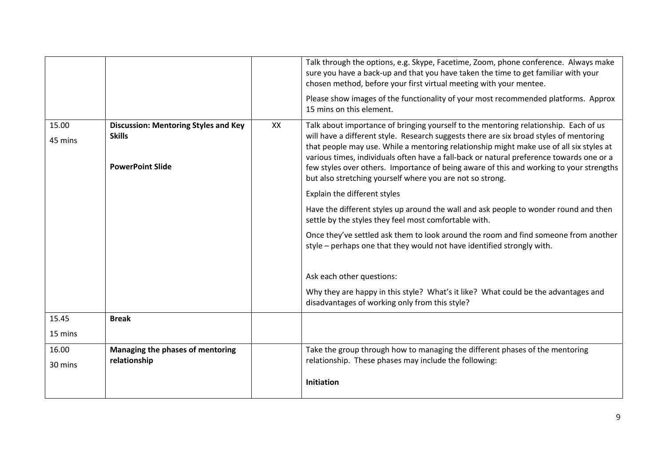|         |                                             |    | Talk through the options, e.g. Skype, Facetime, Zoom, phone conference. Always make<br>sure you have a back-up and that you have taken the time to get familiar with your<br>chosen method, before your first virtual meeting with your mentee.<br>Please show images of the functionality of your most recommended platforms. Approx<br>15 mins on this element.                                                                     |
|---------|---------------------------------------------|----|---------------------------------------------------------------------------------------------------------------------------------------------------------------------------------------------------------------------------------------------------------------------------------------------------------------------------------------------------------------------------------------------------------------------------------------|
| 15.00   | <b>Discussion: Mentoring Styles and Key</b> | XX | Talk about importance of bringing yourself to the mentoring relationship. Each of us                                                                                                                                                                                                                                                                                                                                                  |
| 45 mins | <b>Skills</b><br><b>PowerPoint Slide</b>    |    | will have a different style. Research suggests there are six broad styles of mentoring<br>that people may use. While a mentoring relationship might make use of all six styles at<br>various times, individuals often have a fall-back or natural preference towards one or a<br>few styles over others. Importance of being aware of this and working to your strengths<br>but also stretching yourself where you are not so strong. |
|         |                                             |    | Explain the different styles                                                                                                                                                                                                                                                                                                                                                                                                          |
|         |                                             |    | Have the different styles up around the wall and ask people to wonder round and then<br>settle by the styles they feel most comfortable with.                                                                                                                                                                                                                                                                                         |
|         |                                             |    | Once they've settled ask them to look around the room and find someone from another<br>style - perhaps one that they would not have identified strongly with.                                                                                                                                                                                                                                                                         |
|         |                                             |    | Ask each other questions:                                                                                                                                                                                                                                                                                                                                                                                                             |
|         |                                             |    | Why they are happy in this style? What's it like? What could be the advantages and<br>disadvantages of working only from this style?                                                                                                                                                                                                                                                                                                  |
| 15.45   | <b>Break</b>                                |    |                                                                                                                                                                                                                                                                                                                                                                                                                                       |
| 15 mins |                                             |    |                                                                                                                                                                                                                                                                                                                                                                                                                                       |
| 16.00   | Managing the phases of mentoring            |    | Take the group through how to managing the different phases of the mentoring                                                                                                                                                                                                                                                                                                                                                          |
| 30 mins | relationship                                |    | relationship. These phases may include the following:                                                                                                                                                                                                                                                                                                                                                                                 |
|         |                                             |    | <b>Initiation</b>                                                                                                                                                                                                                                                                                                                                                                                                                     |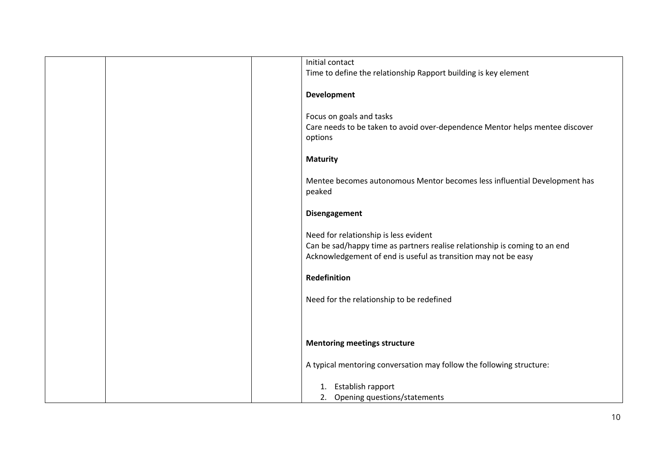| Initial contact                                                                                                                                                                       |
|---------------------------------------------------------------------------------------------------------------------------------------------------------------------------------------|
| Time to define the relationship Rapport building is key element                                                                                                                       |
| <b>Development</b>                                                                                                                                                                    |
| Focus on goals and tasks<br>Care needs to be taken to avoid over-dependence Mentor helps mentee discover<br>options                                                                   |
| <b>Maturity</b>                                                                                                                                                                       |
| Mentee becomes autonomous Mentor becomes less influential Development has<br>peaked                                                                                                   |
| Disengagement                                                                                                                                                                         |
| Need for relationship is less evident<br>Can be sad/happy time as partners realise relationship is coming to an end<br>Acknowledgement of end is useful as transition may not be easy |
| <b>Redefinition</b>                                                                                                                                                                   |
| Need for the relationship to be redefined                                                                                                                                             |
|                                                                                                                                                                                       |
| <b>Mentoring meetings structure</b>                                                                                                                                                   |
| A typical mentoring conversation may follow the following structure:                                                                                                                  |
| 1. Establish rapport                                                                                                                                                                  |
| 2. Opening questions/statements                                                                                                                                                       |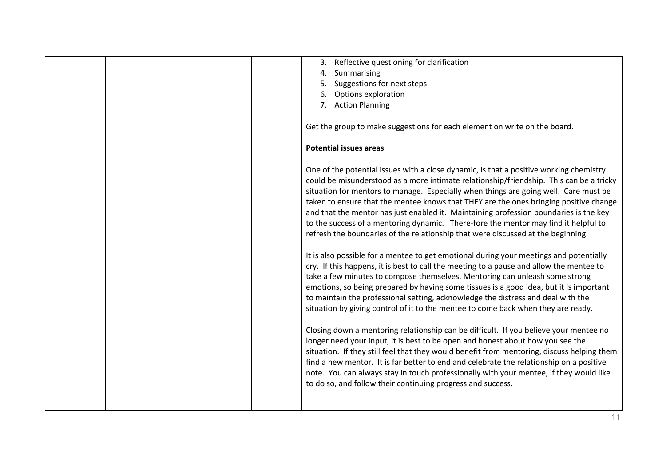|  | Reflective questioning for clarification<br>3.                                                                                                                                                                                                                                                                                           |                                                                                                                                                                                                                                                                                                                                                                                                                                                                                                                                                                                                                                                                                                                                                                                                                                   |
|--|------------------------------------------------------------------------------------------------------------------------------------------------------------------------------------------------------------------------------------------------------------------------------------------------------------------------------------------|-----------------------------------------------------------------------------------------------------------------------------------------------------------------------------------------------------------------------------------------------------------------------------------------------------------------------------------------------------------------------------------------------------------------------------------------------------------------------------------------------------------------------------------------------------------------------------------------------------------------------------------------------------------------------------------------------------------------------------------------------------------------------------------------------------------------------------------|
|  | Summarising<br>4.                                                                                                                                                                                                                                                                                                                        |                                                                                                                                                                                                                                                                                                                                                                                                                                                                                                                                                                                                                                                                                                                                                                                                                                   |
|  | Suggestions for next steps                                                                                                                                                                                                                                                                                                               |                                                                                                                                                                                                                                                                                                                                                                                                                                                                                                                                                                                                                                                                                                                                                                                                                                   |
|  | Options exploration<br>6.                                                                                                                                                                                                                                                                                                                |                                                                                                                                                                                                                                                                                                                                                                                                                                                                                                                                                                                                                                                                                                                                                                                                                                   |
|  | <b>Action Planning</b><br>7 <sub>1</sub>                                                                                                                                                                                                                                                                                                 |                                                                                                                                                                                                                                                                                                                                                                                                                                                                                                                                                                                                                                                                                                                                                                                                                                   |
|  |                                                                                                                                                                                                                                                                                                                                          |                                                                                                                                                                                                                                                                                                                                                                                                                                                                                                                                                                                                                                                                                                                                                                                                                                   |
|  | Get the group to make suggestions for each element on write on the board.                                                                                                                                                                                                                                                                |                                                                                                                                                                                                                                                                                                                                                                                                                                                                                                                                                                                                                                                                                                                                                                                                                                   |
|  |                                                                                                                                                                                                                                                                                                                                          |                                                                                                                                                                                                                                                                                                                                                                                                                                                                                                                                                                                                                                                                                                                                                                                                                                   |
|  | <b>Potential issues areas</b>                                                                                                                                                                                                                                                                                                            |                                                                                                                                                                                                                                                                                                                                                                                                                                                                                                                                                                                                                                                                                                                                                                                                                                   |
|  | refresh the boundaries of the relationship that were discussed at the beginning.<br>take a few minutes to compose themselves. Mentoring can unleash some strong<br>to maintain the professional setting, acknowledge the distress and deal with the<br>situation by giving control of it to the mentee to come back when they are ready. | One of the potential issues with a close dynamic, is that a positive working chemistry<br>could be misunderstood as a more intimate relationship/friendship. This can be a tricky<br>situation for mentors to manage. Especially when things are going well. Care must be<br>taken to ensure that the mentee knows that THEY are the ones bringing positive change<br>and that the mentor has just enabled it. Maintaining profession boundaries is the key<br>to the success of a mentoring dynamic. There-fore the mentor may find it helpful to<br>It is also possible for a mentee to get emotional during your meetings and potentially<br>cry. If this happens, it is best to call the meeting to a pause and allow the mentee to<br>emotions, so being prepared by having some tissues is a good idea, but it is important |
|  | longer need your input, it is best to be open and honest about how you see the                                                                                                                                                                                                                                                           | Closing down a mentoring relationship can be difficult. If you believe your mentee no                                                                                                                                                                                                                                                                                                                                                                                                                                                                                                                                                                                                                                                                                                                                             |
|  |                                                                                                                                                                                                                                                                                                                                          | situation. If they still feel that they would benefit from mentoring, discuss helping them                                                                                                                                                                                                                                                                                                                                                                                                                                                                                                                                                                                                                                                                                                                                        |
|  |                                                                                                                                                                                                                                                                                                                                          | find a new mentor. It is far better to end and celebrate the relationship on a positive                                                                                                                                                                                                                                                                                                                                                                                                                                                                                                                                                                                                                                                                                                                                           |
|  |                                                                                                                                                                                                                                                                                                                                          | note. You can always stay in touch professionally with your mentee, if they would like                                                                                                                                                                                                                                                                                                                                                                                                                                                                                                                                                                                                                                                                                                                                            |
|  | to do so, and follow their continuing progress and success.                                                                                                                                                                                                                                                                              |                                                                                                                                                                                                                                                                                                                                                                                                                                                                                                                                                                                                                                                                                                                                                                                                                                   |
|  |                                                                                                                                                                                                                                                                                                                                          |                                                                                                                                                                                                                                                                                                                                                                                                                                                                                                                                                                                                                                                                                                                                                                                                                                   |
|  |                                                                                                                                                                                                                                                                                                                                          |                                                                                                                                                                                                                                                                                                                                                                                                                                                                                                                                                                                                                                                                                                                                                                                                                                   |